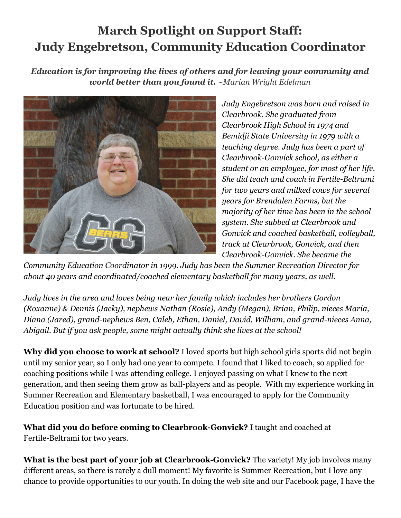## **March Spotlight on Support Staff: Judy Engebretson, Community Education Coordinator**

*Education is for improving the lives of others and for leaving your community and world better than you found it. ~Marian Wright Edelman*



*Judy Engebretson was born and raised in Clearbrook. She graduated from Clearbrook High School in 1974 and Bemidji State University in 1979 with a teaching degree. Judy has been a part of Clearbrook-Gonvick school, as either a student or an employee, for most of her life. She did teach and coach in Fertile-Beltrami for two years and milked cows for several years for Brendalen Farms, but the majority of her time has been in the school system. She subbed at Clearbrook and Gonvick and coached basketball, volleyball, track at Clearbrook, Gonvick, and then Clearbrook-Gonvick. She became the*

*Community Education Coordinator in 1999. Judy has been the Summer Recreation Director for about 40 years and coordinated/coached elementary basketball for many years, as well.*

*Judy lives in the area and loves being near her family which includes her brothers Gordon (Roxanne) & Dennis (Jacky), nephews Nathan (Rosie), Andy (Megan), Brian, Philip, nieces Maria, Diana (Jared), grand-nephews Ben, Caleb, Ethan, Daniel, David, William, and grand-nieces Anna, Abigail. But if you ask people, some might actually think she lives at the school!*

**Why did you choose to work at school?** I loved sports but high school girls sports did not begin until my senior year, so I only had one year to compete. I found that I liked to coach, so applied for coaching positions while I was attending college. I enjoyed passing on what I knew to the next generation, and then seeing them grow as ball-players and as people. With my experience working in Summer Recreation and Elementary basketball, I was encouraged to apply for the Community Education position and was fortunate to be hired.

**What did you do before coming to Clearbrook-Gonvick?** I taught and coached at Fertile-Beltrami for two years.

**What is the best part of your job at Clearbrook-Gonvick?** The variety! My job involves many different areas, so there is rarely a dull moment! My favorite is Summer Recreation, but I love any chance to provide opportunities to our youth. In doing the web site and our Facebook page, I have the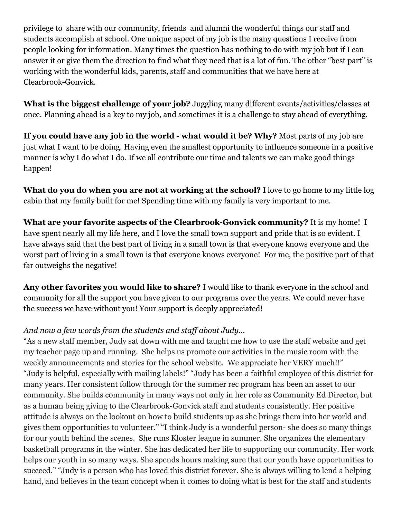privilege to share with our community, friends and alumni the wonderful things our staff and students accomplish at school. One unique aspect of my job is the many questions I receive from people looking for information. Many times the question has nothing to do with my job but if I can answer it or give them the direction to find what they need that is a lot of fun. The other "best part" is working with the wonderful kids, parents, staff and communities that we have here at Clearbrook-Gonvick.

**What is the biggest challenge of your job?** Juggling many different events/activities/classes at once. Planning ahead is a key to my job, and sometimes it is a challenge to stay ahead of everything.

**If you could have any job in the world - what would it be? Why?** Most parts of my job are just what I want to be doing. Having even the smallest opportunity to influence someone in a positive manner is why I do what I do. If we all contribute our time and talents we can make good things happen!

**What do you do when you are not at working at the school?** I love to go home to my little log cabin that my family built for me! Spending time with my family is very important to me.

**What are your favorite aspects of the Clearbrook-Gonvick community?** It is my home! I have spent nearly all my life here, and I love the small town support and pride that is so evident. I have always said that the best part of living in a small town is that everyone knows everyone and the worst part of living in a small town is that everyone knows everyone! For me, the positive part of that far outweighs the negative!

**Any other favorites you would like to share?** I would like to thank everyone in the school and community for all the support you have given to our programs over the years. We could never have the success we have without you! Your support is deeply appreciated!

## *And now a few words from the students and staff about Judy…*

"As a new staff member, Judy sat down with me and taught me how to use the staff website and get my teacher page up and running. She helps us promote our activities in the music room with the weekly announcements and stories for the school website. We appreciate her VERY much!!" "Judy is helpful, especially with mailing labels!" "Judy has been a faithful employee of this district for many years. Her consistent follow through for the summer rec program has been an asset to our community. She builds community in many ways not only in her role as Community Ed Director, but as a human being giving to the Clearbrook-Gonvick staff and students consistently. Her positive attitude is always on the lookout on how to build students up as she brings them into her world and gives them opportunities to volunteer." "I think Judy is a wonderful person- she does so many things for our youth behind the scenes. She runs Kloster league in summer. She organizes the elementary basketball programs in the winter. She has dedicated her life to supporting our community. Her work helps our youth in so many ways. She spends hours making sure that our youth have opportunities to succeed." "Judy is a person who has loved this district forever. She is always willing to lend a helping hand, and believes in the team concept when it comes to doing what is best for the staff and students